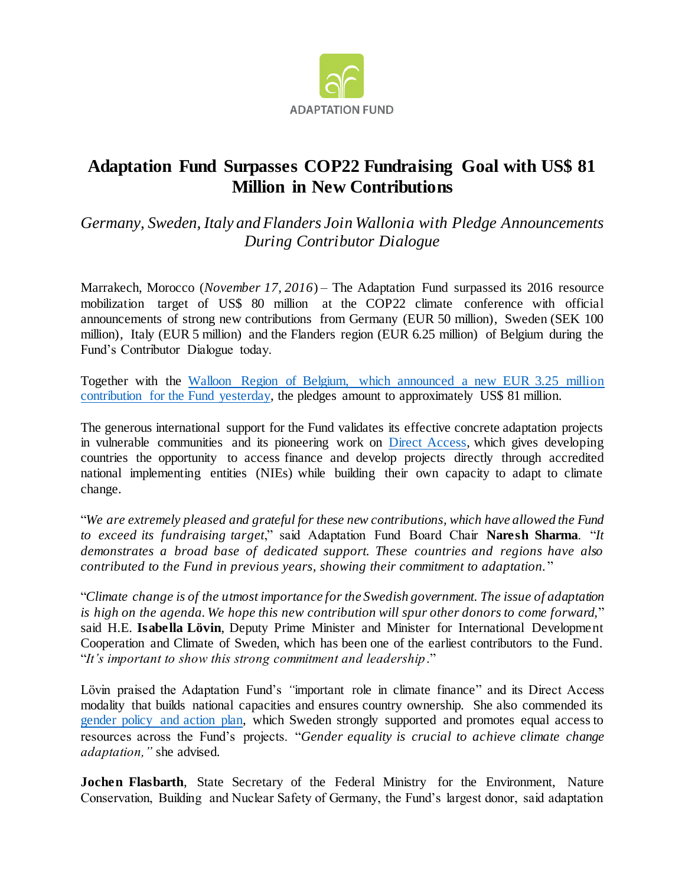

## **Adaptation Fund Surpasses COP22 Fundraising Goal with US\$ 81 Million in New Contributions**

*Germany, Sweden, Italy and Flanders Join Wallonia with Pledge Announcements During Contributor Dialogue*

Marrakech, Morocco (*November 17, 2016*) – The Adaptation Fund surpassed its 2016 resource mobilization target of US\$ 80 million at the COP22 climate conference with official announcements of strong new contributions from Germany (EUR 50 million), Sweden (SEK 100 million), Italy (EUR 5 million) and the Flanders region (EUR 6.25 million) of Belgium during the Fund's Contributor Dialogue today.

Together with the [Walloon Region of Belgium, which announced a new EUR 3.25 million](https://www.adaptation-fund.org/wallonia-comes-forward-us3-5-million-contribution-adaptation-fund/)  [contribution for the Fund yesterday,](https://www.adaptation-fund.org/wallonia-comes-forward-us3-5-million-contribution-adaptation-fund/) the pledges amount to approximately US\$ 81 million.

The generous international support for the Fund validates its effective concrete adaptation projects in vulnerable communities and its pioneering work on [Direct Access,](https://www.adaptation-fund.org/about/direct-access/) which gives developing countries the opportunity to access finance and develop projects directly through accredited national implementing entities (NIEs) while building their own capacity to adapt to climate change.

"*We are extremely pleased and grateful for these new contributions, which have allowed the Fund to exceed its fundraising target*," said Adaptation Fund Board Chair **Naresh Sharma**. "*It demonstrates a broad base of dedicated support. These countries and regions have also contributed to the Fund in previous years, showing their commitment to adaptation.* "

"*Climate change is of the utmost importance for the Swedish government. The issue of adaptation is high on the agenda. We hope this new contribution will spur other donors to come forward,*" said H.E. **Isabella Lövin**, Deputy Prime Minister and Minister for International Development Cooperation and Climate of Sweden, which has been one of the earliest contributors to the Fund. "*It's important to show this strong commitment and leadership*."

Lövin praised the Adaptation Fund's *"*important role in climate finance" and its Direct Access modality that builds national capacities and ensures country ownership. She also commended its [gender policy and action plan,](https://www.adaptation-fund.org/document/opg-annex4-gender-policy/) which Sweden strongly supported and promotes equal access to resources across the Fund's projects. "*Gender equality is crucial to achieve climate change adaptation,"* she advised.

**Jochen Flasbarth**, State Secretary of the Federal Ministry for the Environment, Nature Conservation, Building and Nuclear Safety of Germany, the Fund's largest donor, said adaptation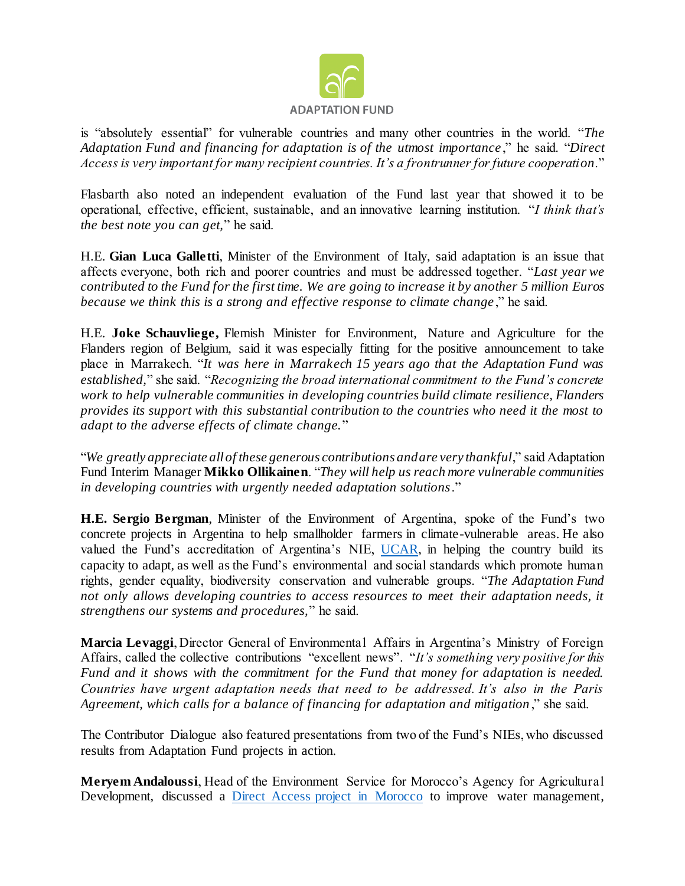

is "absolutely essential" for vulnerable countries and many other countries in the world. "*The Adaptation Fund and financing for adaptation is of the utmost importance* ," he said. "*Direct Access is very important for many recipient countries. It's a frontrunner for future cooperation*."

Flasbarth also noted an independent evaluation of the Fund last year that showed it to be operational, effective, efficient, sustainable, and an innovative learning institution. "*I think that's the best note you can get,*" he said.

H.E. **Gian Luca Galletti**, Minister of the Environment of Italy, said adaptation is an issue that affects everyone, both rich and poorer countries and must be addressed together. "*Last year we contributed to the Fund for the first time. We are going to increase it by another 5 million Euros because we think this is a strong and effective response to climate change* ," he said.

H.E. **Joke Schauvliege,** Flemish Minister for Environment, Nature and Agriculture for the Flanders region of Belgium, said it was especially fitting for the positive announcement to take place in Marrakech. "*It was here in Marrakech 15 years ago that the Adaptation Fund was established,*" she said. "*Recognizing the broad international commitment to the Fund's concrete work to help vulnerable communities in developing countries build climate resilience, Flanders provides its support with this substantial contribution to the countries who need it the most to adapt to the adverse effects of climate change.*"

"*We greatly appreciate all of these generous contributions and are very thankful*," said Adaptation Fund Interim Manager **Mikko Ollikainen**. "*They will help us reach more vulnerable communities in developing countries with urgently needed adaptation solutions*."

**H.E. Sergio Bergman**, Minister of the Environment of Argentina, spoke of the Fund's two concrete projects in Argentina to help smallholder farmers in climate-vulnerable areas. He also valued the Fund's accreditation of Argentina's NIE, [UCAR,](https://www.adaptation-fund.org/ie/unidad-para-el-cambio-rural-unit-for-rural-change-ucar/) in helping the country build its capacity to adapt, as well as the Fund's environmental and social standards which promote human rights, gender equality, biodiversity conservation and vulnerable groups. "*The Adaptation Fund not only allows developing countries to access resources to meet their adaptation needs, it strengthens our systems and procedures,*" he said.

**Marcia Levaggi**, Director General of Environmental Affairs in Argentina's Ministry of Foreign Affairs, called the collective contributions "excellent news". "*It's something very positive for this Fund and it shows with the commitment for the Fund that money for adaptation is needed. Countries have urgent adaptation needs that need to be addressed. It's also in the Paris Agreement, which calls for a balance of financing for adaptation and mitigation* ," she said.

The Contributor Dialogue also featured presentations from two of the Fund's NIEs, who discussed results from Adaptation Fund projects in action.

**Meryem Andaloussi**, Head of the Environment Service for Morocco's Agency for Agricultural Development, discussed a [Direct Access project in Morocco](https://www.adaptation-fund.org/pdfjs/web/viewer.html?file=https://www.adaptation-fund.org/wp-content/uploads/2016/10/AdaptationStory-centered-highres.pdf) to improve water management,